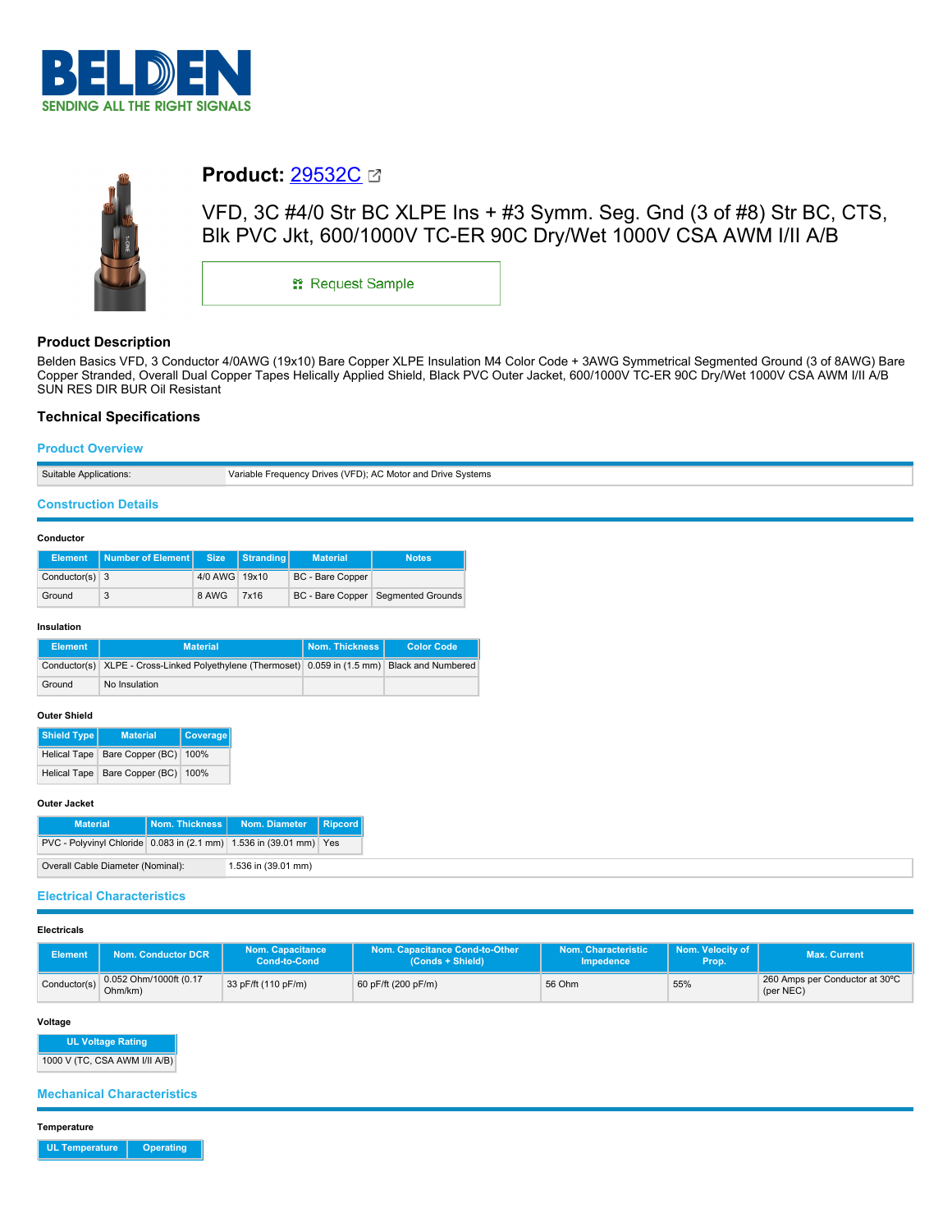



# **Product:** [29532C](https://catalog.belden.com/index.cfm?event=pd&p=PF_29532C&tab=downloads)

VFD, 3C #4/0 Str BC XLPE Ins + #3 Symm. Seg. Gnd (3 of #8) Str BC, CTS, Blk PVC Jkt, 600/1000V TC-ER 90C Dry/Wet 1000V CSA AWM I/II A/B

\*\* Request Sample

## **Product Description**

Belden Basics VFD, 3 Conductor 4/0AWG (19x10) Bare Copper XLPE Insulation M4 Color Code + 3AWG Symmetrical Segmented Ground (3 of 8AWG) Bare Copper Stranded, Overall Dual Copper Tapes Helically Applied Shield, Black PVC Outer Jacket, 600/1000V TC-ER 90C Dry/Wet 1000V CSA AWM I/II A/B SUN RES DIR BUR Oil Resistant

## **Technical Specifications**

## **Product Overview**

| Suitable Applications: | Variable Frequency Drives (VFD): AC Motor and Drive Systems |
|------------------------|-------------------------------------------------------------|

#### **Construction Details**

#### **Conductor**

|                  | Element   Number of Element   Size |               | Stranding | <b>Material</b>         | <b>Notes</b>                         |
|------------------|------------------------------------|---------------|-----------|-------------------------|--------------------------------------|
| Conductor(s) $3$ |                                    | 4/0 AWG 19x10 |           | <b>BC</b> - Bare Copper |                                      |
| Ground           |                                    | 8 AWG         | 7x16      |                         | BC - Bare Copper   Segmented Grounds |

#### **Insulation**

| Element | <b>Material</b>                                                                                | <b>Nom. Thickness I</b> | <b>Color Code</b> |
|---------|------------------------------------------------------------------------------------------------|-------------------------|-------------------|
|         | Conductor(s) XLPE - Cross-Linked Polyethylene (Thermoset) 0.059 in (1.5 mm) Black and Numbered |                         |                   |
| Ground  | No Insulation                                                                                  |                         |                   |

## **Outer Shield**

| <b>Shield Type</b> | <b>Material</b>                    | Coverage |
|--------------------|------------------------------------|----------|
|                    | Helical Tape Bare Copper (BC) 100% |          |
|                    | Helical Tape Bare Copper (BC) 100% |          |

#### **Outer Jacket**

| <b>Material</b>                                                    | Nom. Thickness I    | Nom. Diameter | Ripcord |
|--------------------------------------------------------------------|---------------------|---------------|---------|
| PVC - Polyvinyl Chloride 0.083 in (2.1 mm) 1.536 in (39.01 mm) Yes |                     |               |         |
| Overall Cable Diameter (Nominal):                                  | 1.536 in (39.01 mm) |               |         |

#### **Electrical Characteristics**

## **Electricals**

| <b>Element</b> | <b>Nom. Conductor DCR</b>         | <b>Nom. Capacitance</b><br>Cond-to-Cond | Nom. Capacitance Cond-to-Other<br>(Conds + Shield) | Nom. Characteristic<br><b>Impedence</b> | Nom. Velocity of<br>Prop. | Max. Current                                |
|----------------|-----------------------------------|-----------------------------------------|----------------------------------------------------|-----------------------------------------|---------------------------|---------------------------------------------|
| Conductor(s)   | 0.052 Ohm/1000ft (0.17<br>Ohm/km) | 33 pF/ft (110 pF/m)                     | 60 pF/ft (200 pF/m)                                | 56 Ohm                                  | 55%                       | 260 Amps per Conductor at 30°C<br>(per NEC) |

#### **Voltage**

**UL Voltage Rating**

1000 V (TC, CSA AWM I/II A/B)

**Mechanical Characteristics**

**Temperature**

**UL Temperature Operating**